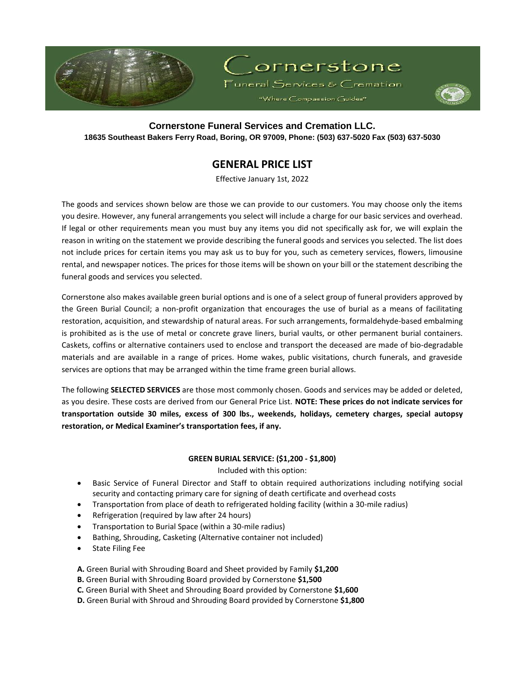



# **Cornerstone Funeral Services and Cremation LLC. 18635 Southeast Bakers Ferry Road, Boring, OR 97009, Phone: (503) 637-5020 Fax (503) 637-5030**

# **GENERAL PRICE LIST**

Effective January 1st, 2022

The goods and services shown below are those we can provide to our customers. You may choose only the items you desire. However, any funeral arrangements you select will include a charge for our basic services and overhead. If legal or other requirements mean you must buy any items you did not specifically ask for, we will explain the reason in writing on the statement we provide describing the funeral goods and services you selected. The list does not include prices for certain items you may ask us to buy for you, such as cemetery services, flowers, limousine rental, and newspaper notices. The prices for those items will be shown on your bill or the statement describing the funeral goods and services you selected.

Cornerstone also makes available green burial options and is one of a select group of funeral providers approved by the Green Burial Council; a non-profit organization that encourages the use of burial as a means of facilitating restoration, acquisition, and stewardship of natural areas. For such arrangements, formaldehyde-based embalming is prohibited as is the use of metal or concrete grave liners, burial vaults, or other permanent burial containers. Caskets, coffins or alternative containers used to enclose and transport the deceased are made of bio-degradable materials and are available in a range of prices. Home wakes, public visitations, church funerals, and graveside services are options that may be arranged within the time frame green burial allows.

The following **SELECTED SERVICES** are those most commonly chosen. Goods and services may be added or deleted, as you desire. These costs are derived from our General Price List. **NOTE: These prices do not indicate services for transportation outside 30 miles, excess of 300 lbs., weekends, holidays, cemetery charges, special autopsy restoration, or Medical Examiner's transportation fees, if any.** 

### **GREEN BURIAL SERVICE: (\$1,200 - \$1,800)**

Included with this option:

- Basic Service of Funeral Director and Staff to obtain required authorizations including notifying social security and contacting primary care for signing of death certificate and overhead costs
- Transportation from place of death to refrigerated holding facility (within a 30-mile radius)
- Refrigeration (required by law after 24 hours)
- Transportation to Burial Space (within a 30-mile radius)
- Bathing, Shrouding, Casketing (Alternative container not included)
- State Filing Fee

**A.** Green Burial with Shrouding Board and Sheet provided by Family **\$1,200**

**B.** Green Burial with Shrouding Board provided by Cornerstone **\$1,500**

- **C.** Green Burial with Sheet and Shrouding Board provided by Cornerstone **\$1,600**
- **D.** Green Burial with Shroud and Shrouding Board provided by Cornerstone **\$1,800**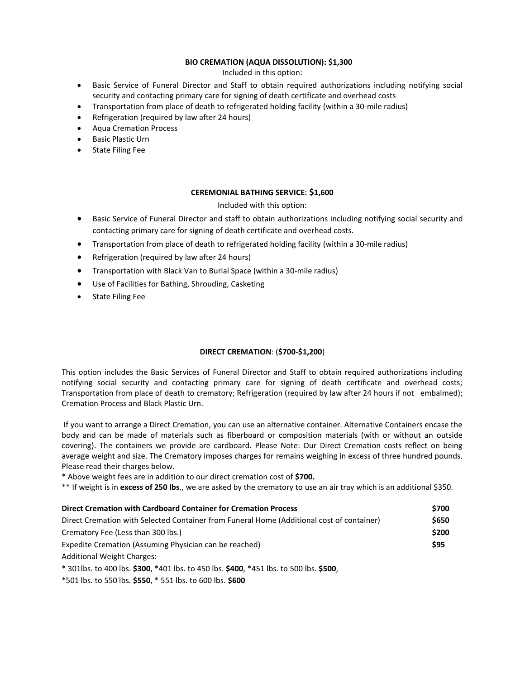### **BIO CREMATION (AQUA DISSOLUTION): \$1,300**

Included in this option:

- Basic Service of Funeral Director and Staff to obtain required authorizations including notifying social security and contacting primary care for signing of death certificate and overhead costs
- Transportation from place of death to refrigerated holding facility (within a 30-mile radius)
- Refrigeration (required by law after 24 hours)
- Aqua Cremation Process
- Basic Plastic Urn
- State Filing Fee

### **CEREMONIAL BATHING SERVICE: \$1,600**

### Included with this option:

- Basic Service of Funeral Director and staff to obtain authorizations including notifying social security and contacting primary care for signing of death certificate and overhead costs.
- Transportation from place of death to refrigerated holding facility (within a 30-mile radius)
- Refrigeration (required by law after 24 hours)
- Transportation with Black Van to Burial Space (within a 30-mile radius)
- Use of Facilities for Bathing, Shrouding, Casketing
- **•** State Filing Fee

### **DIRECT CREMATION**: (**\$700-\$1,200**)

This option includes the Basic Services of Funeral Director and Staff to obtain required authorizations including notifying social security and contacting primary care for signing of death certificate and overhead costs; Transportation from place of death to crematory; Refrigeration (required by law after 24 hours if not embalmed); Cremation Process and Black Plastic Urn.

If you want to arrange a Direct Cremation, you can use an alternative container. Alternative Containers encase the body and can be made of materials such as fiberboard or composition materials (with or without an outside covering). The containers we provide are cardboard. Please Note: Our Direct Cremation costs reflect on being average weight and size. The Crematory imposes charges for remains weighing in excess of three hundred pounds. Please read their charges below.

\* Above weight fees are in addition to our direct cremation cost of **\$700.**

\*\* If weight is in **excess of 250 lbs**., we are asked by the crematory to use an air tray which is an additional \$350.

| Direct Cremation with Cardboard Container for Cremation Process                           | \$700 |
|-------------------------------------------------------------------------------------------|-------|
| Direct Cremation with Selected Container from Funeral Home (Additional cost of container) | \$650 |
| Crematory Fee (Less than 300 lbs.)                                                        | \$200 |
| Expedite Cremation (Assuming Physician can be reached)                                    | \$95  |
| <b>Additional Weight Charges:</b>                                                         |       |
| * 301lbs. to 400 lbs. \$300, *401 lbs. to 450 lbs. \$400, *451 lbs. to 500 lbs. \$500,    |       |

\*501 lbs. to 550 lbs. **\$550**, \* 551 lbs. to 600 lbs. **\$600**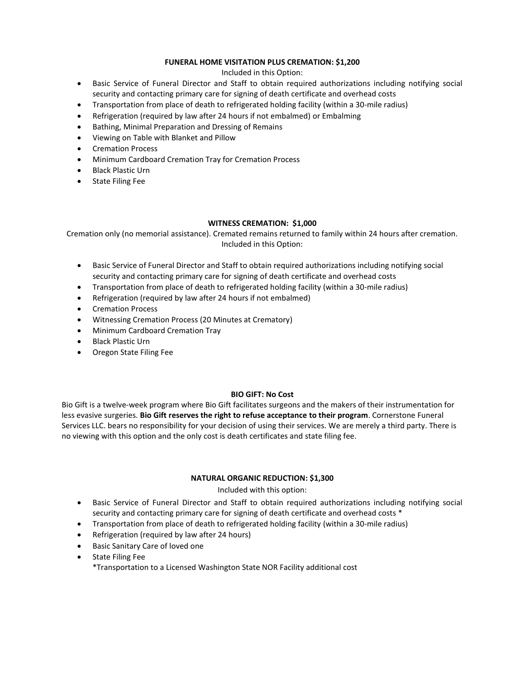### **FUNERAL HOME VISITATION PLUS CREMATION: \$1,200**

Included in this Option:

- Basic Service of Funeral Director and Staff to obtain required authorizations including notifying social security and contacting primary care for signing of death certificate and overhead costs
- Transportation from place of death to refrigerated holding facility (within a 30-mile radius)
- Refrigeration (required by law after 24 hours if not embalmed) or Embalming
- Bathing, Minimal Preparation and Dressing of Remains
- Viewing on Table with Blanket and Pillow
- Cremation Process
- Minimum Cardboard Cremation Tray for Cremation Process
- Black Plastic Urn
- **•** State Filing Fee

### **WITNESS CREMATION: \$1,000**

Cremation only (no memorial assistance). Cremated remains returned to family within 24 hours after cremation. Included in this Option:

- Basic Service of Funeral Director and Staff to obtain required authorizations including notifying social security and contacting primary care for signing of death certificate and overhead costs
- Transportation from place of death to refrigerated holding facility (within a 30-mile radius)
- Refrigeration (required by law after 24 hours if not embalmed)
- Cremation Process
- Witnessing Cremation Process (20 Minutes at Crematory)
- Minimum Cardboard Cremation Tray
- Black Plastic Urn
- Oregon State Filing Fee

### **BIO GIFT: No Cost**

Bio Gift is a twelve-week program where Bio Gift facilitates surgeons and the makers of their instrumentation for less evasive surgeries. **Bio Gift reserves the right to refuse acceptance to their program**. Cornerstone Funeral Services LLC. bears no responsibility for your decision of using their services. We are merely a third party. There is no viewing with this option and the only cost is death certificates and state filing fee.

### **NATURAL ORGANIC REDUCTION: \$1,300**

### Included with this option:

- Basic Service of Funeral Director and Staff to obtain required authorizations including notifying social security and contacting primary care for signing of death certificate and overhead costs \*
- Transportation from place of death to refrigerated holding facility (within a 30-mile radius)
- Refrigeration (required by law after 24 hours)
- Basic Sanitary Care of loved one
- State Filing Fee

\*Transportation to a Licensed Washington State NOR Facility additional cost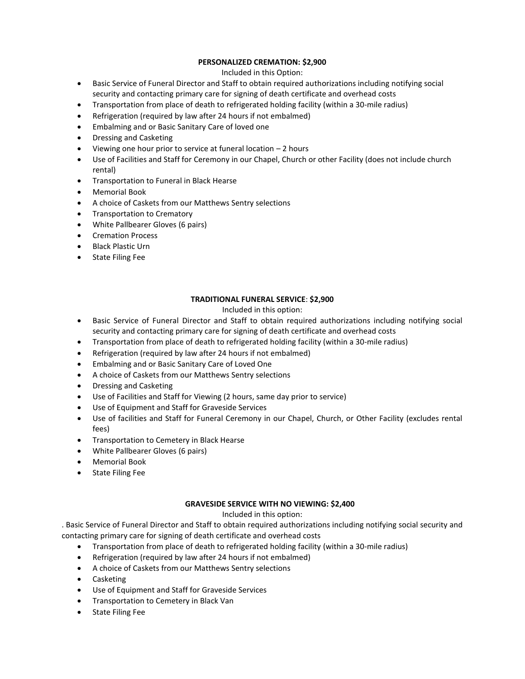## **PERSONALIZED CREMATION: \$2,900**

## Included in this Option:

- Basic Service of Funeral Director and Staff to obtain required authorizations including notifying social security and contacting primary care for signing of death certificate and overhead costs
- Transportation from place of death to refrigerated holding facility (within a 30-mile radius)
- Refrigeration (required by law after 24 hours if not embalmed)
- Embalming and or Basic Sanitary Care of loved one
- Dressing and Casketing
- Viewing one hour prior to service at funeral location 2 hours
- Use of Facilities and Staff for Ceremony in our Chapel, Church or other Facility (does not include church rental)
- **•** Transportation to Funeral in Black Hearse
- Memorial Book
- A choice of Caskets from our Matthews Sentry selections
- Transportation to Crematory
- White Pallbearer Gloves (6 pairs)
- Cremation Process
- Black Plastic Urn
- State Filing Fee

# **TRADITIONAL FUNERAL SERVICE**: **\$2,900**

# Included in this option:

- Basic Service of Funeral Director and Staff to obtain required authorizations including notifying social security and contacting primary care for signing of death certificate and overhead costs
- Transportation from place of death to refrigerated holding facility (within a 30-mile radius)
- Refrigeration (required by law after 24 hours if not embalmed)
- Embalming and or Basic Sanitary Care of Loved One
- A choice of Caskets from our Matthews Sentry selections
- Dressing and Casketing
- Use of Facilities and Staff for Viewing (2 hours, same day prior to service)
- Use of Equipment and Staff for Graveside Services
- Use of facilities and Staff for Funeral Ceremony in our Chapel, Church, or Other Facility (excludes rental fees)
- **•** Transportation to Cemetery in Black Hearse
- White Pallbearer Gloves (6 pairs)
- Memorial Book
- State Filing Fee

# **GRAVESIDE SERVICE WITH NO VIEWING: \$2,400**

# Included in this option:

. Basic Service of Funeral Director and Staff to obtain required authorizations including notifying social security and contacting primary care for signing of death certificate and overhead costs

- Transportation from place of death to refrigerated holding facility (within a 30-mile radius)
- Refrigeration (required by law after 24 hours if not embalmed)
- A choice of Caskets from our Matthews Sentry selections
- Casketing
- Use of Equipment and Staff for Graveside Services
- **•** Transportation to Cemetery in Black Van
- State Filing Fee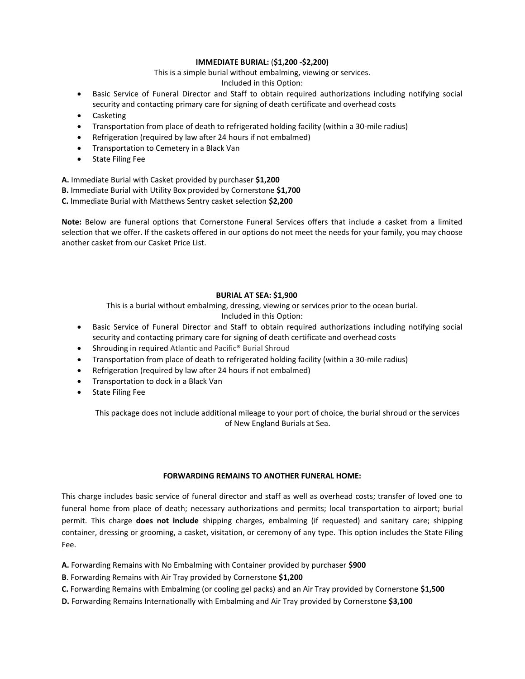## **IMMEDIATE BURIAL:** (**\$1,200 -\$2,200)**

This is a simple burial without embalming, viewing or services.

Included in this Option:

- Basic Service of Funeral Director and Staff to obtain required authorizations including notifying social security and contacting primary care for signing of death certificate and overhead costs
- Casketing
- Transportation from place of death to refrigerated holding facility (within a 30-mile radius)
- Refrigeration (required by law after 24 hours if not embalmed)
- **•** Transportation to Cemetery in a Black Van
- State Filing Fee

**A.** Immediate Burial with Casket provided by purchaser **\$1,200 B.** Immediate Burial with Utility Box provided by Cornerstone **\$1,700**

**C.** Immediate Burial with Matthews Sentry casket selection **\$2,200**

**Note:** Below are funeral options that Cornerstone Funeral Services offers that include a casket from a limited selection that we offer. If the caskets offered in our options do not meet the needs for your family, you may choose another casket from our Casket Price List.

### **BURIAL AT SEA: \$1,900**

This is a burial without embalming, dressing, viewing or services prior to the ocean burial. Included in this Option:

- Basic Service of Funeral Director and Staff to obtain required authorizations including notifying social security and contacting primary care for signing of death certificate and overhead costs
- Shrouding in required Atlantic and Pacific<sup>®</sup> Burial Shroud
- Transportation from place of death to refrigerated holding facility (within a 30-mile radius)
- Refrigeration (required by law after 24 hours if not embalmed)
- Transportation to dock in a Black Van
- **•** State Filing Fee

This package does not include additional mileage to your port of choice, the burial shroud or the services of New England Burials at Sea.

### **FORWARDING REMAINS TO ANOTHER FUNERAL HOME:**

This charge includes basic service of funeral director and staff as well as overhead costs; transfer of loved one to funeral home from place of death; necessary authorizations and permits; local transportation to airport; burial permit. This charge **does not include** shipping charges, embalming (if requested) and sanitary care; shipping container, dressing or grooming, a casket, visitation, or ceremony of any type. This option includes the State Filing Fee.

- **A.** Forwarding Remains with No Embalming with Container provided by purchaser **\$900**
- **B**. Forwarding Remains with Air Tray provided by Cornerstone **\$1,200**
- **C.** Forwarding Remains with Embalming (or cooling gel packs) and an Air Tray provided by Cornerstone **\$1,500**
- **D.** Forwarding Remains Internationally with Embalming and Air Tray provided by Cornerstone **\$3,100**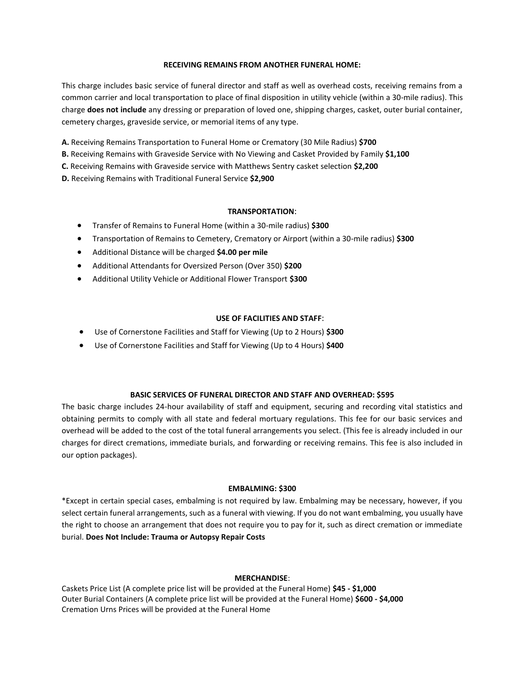#### **RECEIVING REMAINS FROM ANOTHER FUNERAL HOME:**

This charge includes basic service of funeral director and staff as well as overhead costs, receiving remains from a common carrier and local transportation to place of final disposition in utility vehicle (within a 30-mile radius). This charge **does not include** any dressing or preparation of loved one, shipping charges, casket, outer burial container, cemetery charges, graveside service, or memorial items of any type.

**A.** Receiving Remains Transportation to Funeral Home or Crematory (30 Mile Radius) **\$700**

**B.** Receiving Remains with Graveside Service with No Viewing and Casket Provided by Family **\$1,100**

**C.** Receiving Remains with Graveside service with Matthews Sentry casket selection **\$2,200**

**D.** Receiving Remains with Traditional Funeral Service **\$2,900**

### **TRANSPORTATION**:

- Transfer of Remains to Funeral Home (within a 30-mile radius) **\$300**
- Transportation of Remains to Cemetery, Crematory or Airport (within a 30-mile radius) **\$300**
- Additional Distance will be charged **\$4.00 per mile**
- Additional Attendants for Oversized Person (Over 350) **\$200**
- Additional Utility Vehicle or Additional Flower Transport **\$300**

#### **USE OF FACILITIES AND STAFF**:

- Use of Cornerstone Facilities and Staff for Viewing (Up to 2 Hours) **\$300**
- Use of Cornerstone Facilities and Staff for Viewing (Up to 4 Hours) **\$400**

#### **BASIC SERVICES OF FUNERAL DIRECTOR AND STAFF AND OVERHEAD: \$595**

The basic charge includes 24-hour availability of staff and equipment, securing and recording vital statistics and obtaining permits to comply with all state and federal mortuary regulations. This fee for our basic services and overhead will be added to the cost of the total funeral arrangements you select. (This fee is already included in our charges for direct cremations, immediate burials, and forwarding or receiving remains. This fee is also included in our option packages).

#### **EMBALMING: \$300**

\*Except in certain special cases, embalming is not required by law. Embalming may be necessary, however, if you select certain funeral arrangements, such as a funeral with viewing. If you do not want embalming, you usually have the right to choose an arrangement that does not require you to pay for it, such as direct cremation or immediate burial. **Does Not Include: Trauma or Autopsy Repair Costs**

### **MERCHANDISE**:

Caskets Price List (A complete price list will be provided at the Funeral Home) **\$45 - \$1,000** Outer Burial Containers (A complete price list will be provided at the Funeral Home) **\$600 - \$4,000** Cremation Urns Prices will be provided at the Funeral Home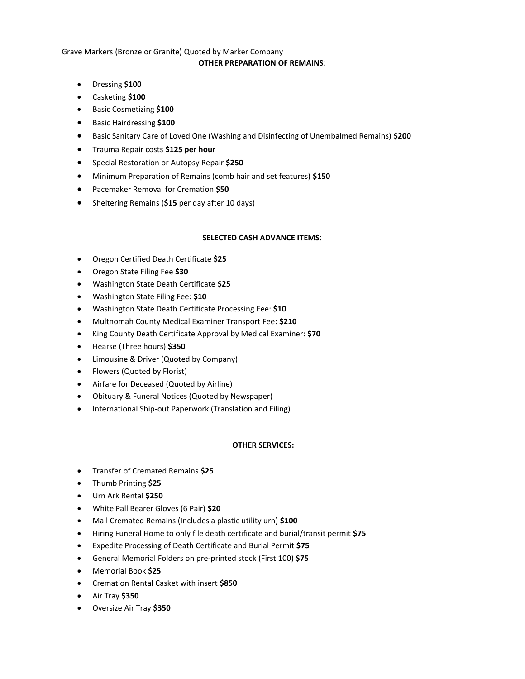# Grave Markers (Bronze or Granite) Quoted by Marker Company **OTHER PREPARATION OF REMAINS**:

- Dressing **\$100**
- Casketing **\$100**
- Basic Cosmetizing **\$100**
- Basic Hairdressing **\$100**
- **•** Basic Sanitary Care of Loved One (Washing and Disinfecting of Unembalmed Remains) \$200
- Trauma Repair costs **\$125 per hour**
- Special Restoration or Autopsy Repair **\$250**
- Minimum Preparation of Remains (comb hair and set features) **\$150**
- Pacemaker Removal for Cremation **\$50**
- Sheltering Remains (**\$15** per day after 10 days)

### **SELECTED CASH ADVANCE ITEMS**:

- Oregon Certified Death Certificate **\$25**
- Oregon State Filing Fee **\$30**
- Washington State Death Certificate **\$25**
- Washington State Filing Fee: **\$10**
- Washington State Death Certificate Processing Fee: **\$10**
- Multnomah County Medical Examiner Transport Fee: **\$210**
- King County Death Certificate Approval by Medical Examiner: **\$70**
- Hearse (Three hours) **\$350**
- Limousine & Driver (Quoted by Company)
- Flowers (Quoted by Florist)
- Airfare for Deceased (Quoted by Airline)
- Obituary & Funeral Notices (Quoted by Newspaper)
- International Ship-out Paperwork (Translation and Filing)

### **OTHER SERVICES:**

- Transfer of Cremated Remains **\$25**
- Thumb Printing **\$25**
- Urn Ark Rental **\$250**
- White Pall Bearer Gloves (6 Pair) **\$20**
- Mail Cremated Remains (Includes a plastic utility urn) **\$100**
- Hiring Funeral Home to only file death certificate and burial/transit permit **\$75**
- Expedite Processing of Death Certificate and Burial Permit **\$75**
- General Memorial Folders on pre-printed stock (First 100) **\$75**
- Memorial Book **\$25**
- Cremation Rental Casket with insert **\$850**
- Air Tray **\$350**
- Oversize Air Tray **\$350**